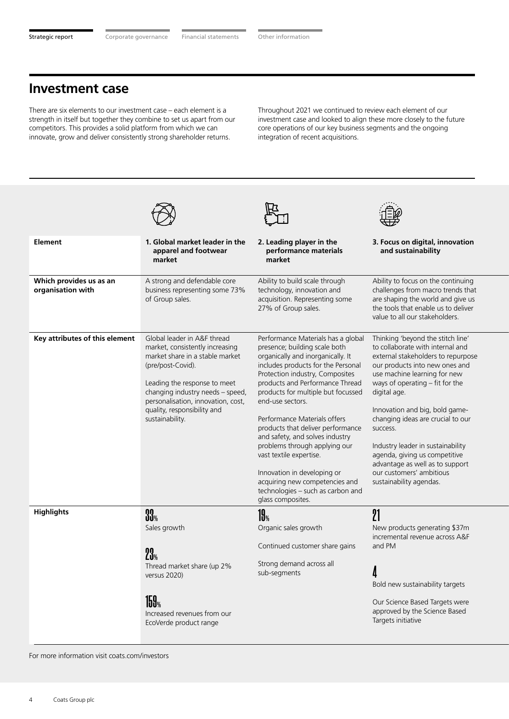## **Investment case**

There are six elements to our investment case – each element is a strength in itself but together they combine to set us apart from our competitors. This provides a solid platform from which we can innovate, grow and deliver consistently strong shareholder returns.

Throughout 2021 we continued to review each element of our investment case and looked to align these more closely to the future core operations of our key business segments and the ongoing integration of recent acquisitions.

| <b>Element</b>                               | 1. Global market leader in the<br>apparel and footwear<br>market                                                                                                                                                                                                                   | 2. Leading player in the<br>performance materials<br>market                                                                                                                                                                                                                                                                                                                                                                                                                                                                                                                   | 3. Focus on digital, innovation<br>and sustainability                                                                                                                                                                                                                                                                                                                                                                                                                                 |
|----------------------------------------------|------------------------------------------------------------------------------------------------------------------------------------------------------------------------------------------------------------------------------------------------------------------------------------|-------------------------------------------------------------------------------------------------------------------------------------------------------------------------------------------------------------------------------------------------------------------------------------------------------------------------------------------------------------------------------------------------------------------------------------------------------------------------------------------------------------------------------------------------------------------------------|---------------------------------------------------------------------------------------------------------------------------------------------------------------------------------------------------------------------------------------------------------------------------------------------------------------------------------------------------------------------------------------------------------------------------------------------------------------------------------------|
| Which provides us as an<br>organisation with | A strong and defendable core<br>business representing some 73%<br>of Group sales.                                                                                                                                                                                                  | Ability to build scale through<br>technology, innovation and<br>acquisition. Representing some<br>27% of Group sales.                                                                                                                                                                                                                                                                                                                                                                                                                                                         | Ability to focus on the continuing<br>challenges from macro trends that<br>are shaping the world and give us<br>the tools that enable us to deliver<br>value to all our stakeholders.                                                                                                                                                                                                                                                                                                 |
| Key attributes of this element               | Global leader in A&F thread<br>market, consistently increasing<br>market share in a stable market<br>(pre/post-Covid).<br>Leading the response to meet<br>changing industry needs - speed,<br>personalisation, innovation, cost,<br>quality, responsibility and<br>sustainability. | Performance Materials has a global<br>presence; building scale both<br>organically and inorganically. It<br>includes products for the Personal<br>Protection industry, Composites<br>products and Performance Thread<br>products for multiple but focussed<br>end-use sectors.<br>Performance Materials offers<br>products that deliver performance<br>and safety, and solves industry<br>problems through applying our<br>vast textile expertise.<br>Innovation in developing or<br>acquiring new competencies and<br>technologies - such as carbon and<br>glass composites. | Thinking 'beyond the stitch line'<br>to collaborate with internal and<br>external stakeholders to repurpose<br>our products into new ones and<br>use machine learning for new<br>ways of operating $-$ fit for the<br>digital age.<br>Innovation and big, bold game-<br>changing ideas are crucial to our<br>success.<br>Industry leader in sustainability<br>agenda, giving us competitive<br>advantage as well as to support<br>our customers' ambitious<br>sustainability agendas. |
| <b>Highlights</b>                            | $\mathbf{33}_{\%}$<br>Sales growth<br>23 <sub>%</sub><br>Thread market share (up 2%<br>versus 2020)<br>159 <sub>%</sub><br>Increased revenues from our<br>EcoVerde product range                                                                                                   | <b>19</b> %<br>Organic sales growth<br>Continued customer share gains<br>Strong demand across all<br>sub-segments                                                                                                                                                                                                                                                                                                                                                                                                                                                             | 21<br>New products generating \$37m<br>incremental revenue across A&F<br>and PM<br>Δ<br>Bold new sustainability targets<br>Our Science Based Targets were<br>approved by the Science Based<br>Targets initiative                                                                                                                                                                                                                                                                      |

For more information visit coats.com/investors